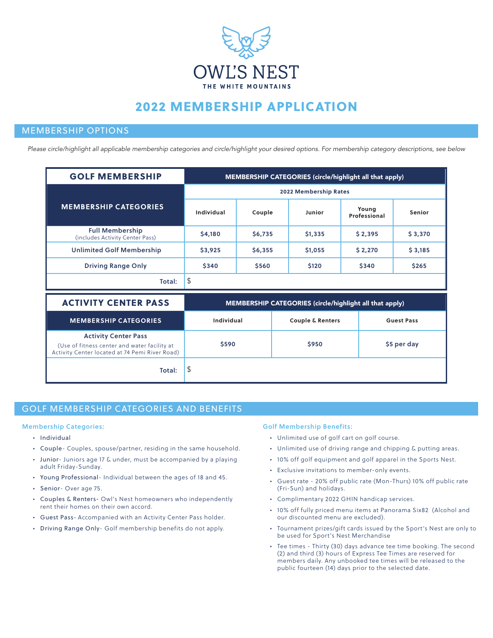

# 2022 MEMBERSHIP APPLICATION

### MEMBERSHIP OPTIONS

*Please circle/highlight all applicable membership categories and circle/highlight your desired options. For membership category descriptions, see below*

| <b>GOLF MEMBERSHIP</b>                                    | MEMBERSHIP CATEGORIES (circle/highlight all that apply) |         |         |                       |         |  |
|-----------------------------------------------------------|---------------------------------------------------------|---------|---------|-----------------------|---------|--|
|                                                           | 2022 Membership Rates                                   |         |         |                       |         |  |
| <b>MEMBERSHIP CATEGORIES</b>                              | Individual                                              | Couple  | Junior  | Young<br>Professional | Senior  |  |
| <b>Full Membership</b><br>(includes Activity Center Pass) | \$4,180                                                 | \$6,735 | \$1,335 | \$2.395               | \$3,370 |  |
| <b>Unlimited Golf Membership</b>                          | \$3,925                                                 | \$6,355 | \$1,055 | \$2,270               | \$3,185 |  |
| <b>Driving Range Only</b>                                 | \$340                                                   | \$560   | \$120   | \$340                 | \$265   |  |
| Total:                                                    | \$                                                      |         |         |                       |         |  |

| <b>ACTIVITY CENTER PASS</b>                                                                                                   | MEMBERSHIP CATEGORIES (circle/highlight all that apply) |                             |                   |  |  |
|-------------------------------------------------------------------------------------------------------------------------------|---------------------------------------------------------|-----------------------------|-------------------|--|--|
| <b>MEMBERSHIP CATEGORIES</b>                                                                                                  | Individual                                              | <b>Couple &amp; Renters</b> | <b>Guest Pass</b> |  |  |
| <b>Activity Center Pass</b><br>(Use of fitness center and water facility at<br>Activity Center located at 74 Pemi River Road) | \$590                                                   | \$950                       | \$5 per day       |  |  |
| Total:                                                                                                                        | ₹                                                       |                             |                   |  |  |

### GOLF MEMBERSHIP CATEGORIES AND BENEFITS GOLF MEMBERSHIP CATEGORIES AND BENEFITS

#### Membership Categories:

- Individual
- Couple- Couples, spouse/partner, residing in the same household.
- Junior- Juniors age 17 & under, must be accompanied by a playing adult Friday-Sunday.
- Young Professional- Individual between the ages of 18 and 45.
- Senior- Over age 75.
- Couples & Renters- Owl's Nest homeowners who independently rent their homes on their own accord.
- Guest Pass- Accompanied with an Activity Center Pass holder.
- Driving Range Only- Golf membership benefits do not apply.

#### Golf Membership Benefits:

- Unlimited use of golf cart on golf course.
- Unlimited use of driving range and chipping & putting areas.
- 10% off golf equipment and golf apparel in the Sports Nest.
- Exclusive invitations to member-only events.
- Guest rate 20% off public rate (Mon-Thurs) 10% off public rate (Fri-Sun) and holidays.
- Complimentary 2022 GHIN handicap services.
- 10% off fully priced menu items at Panorama Six82 (Alcohol and our discounted menu are excluded).
- Tournament prizes/gift cards issued by the Sport's Nest are only to be used for Sport's Nest Merchandise
- Tee times Thirty (30) days advance tee time booking. The second (2) and third (3) hours of Express Tee Times are reserved for members daily. Any unbooked tee times will be released to the public fourteen (14) days prior to the selected date.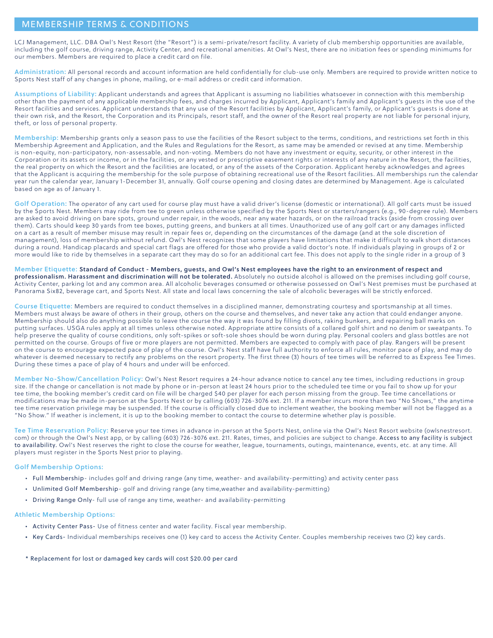### MEMBERSHIP TERMS & CONDITIONS

LCJ Management, LLC. DBA Owl's Nest Resort (the "Resort") is a semi-private/resort facility. A variety of club membership opportunities are available, including the golf course, driving range, Activity Center, and recreational amenities. At Owl's Nest, there are no initiation fees or spending minimums for our members. Members are required to place a credit card on file.

Administration: All personal records and account information are held confidentially for club-use only. Members are required to provide written notice to Sports Nest staff of any changes in phone, mailing, or e-mail address or credit card information.

Assumptions of Liability: Applicant understands and agrees that Applicant is assuming no liabilities whatsoever in connection with this membership other than the payment of any applicable membership fees, and charges incurred by Applicant, Applicant's family and Applicant's guests in the use of the Resort facilities and services. Applicant understands that any use of the Resort facilities by Applicant, Applicant's family, or Applicant's guests is done at their own risk, and the Resort, the Corporation and its Principals, resort staff, and the owner of the Resort real property are not liable for personal injury, theft, or loss of personal property.

Membership: Membership grants only a season pass to use the facilities of the Resort subject to the terms, conditions, and restrictions set forth in this Membership Agreement and Application, and the Rules and Regulations for the Resort, as same may be amended or revised at any time. Membership is non-equity, non-participatory, non-assessable, and non-voting. Members do not have any investment or equity, security, or other interest in the Corporation or its assets or income, or in the facilities, or any vested or prescriptive easement rights or interests of any nature in the Resort, the facilities, the real property on which the Resort and the facilities are located, or any of the assets of the Corporation. Applicant hereby acknowledges and agrees that the Applicant is acquiring the membership for the sole purpose of obtaining recreational use of the Resort facilities. All memberships run the calendar year run the calendar year, January 1-December 31, annually. Golf course opening and closing dates are determined by Management. Age is calculated based on age as of January 1.

Golf Operation: The operator of any cart used for course play must have a valid driver's license (domestic or international). All golf carts must be issued by the Sports Nest. Members may ride from tee to green unless otherwise specified by the Sports Nest or starters/rangers (e.g., 90-degree rule). Members are asked to avoid driving on bare spots, ground under repair, in the woods, near any water hazards, or on the railroad tracks (aside from crossing over them). Carts should keep 30 yards from tee boxes, putting greens, and bunkers at all times. Unauthorized use of any golf cart or any damages inflicted on a cart as a result of member misuse may result in repair fees or, depending on the circumstances of the damage (and at the sole discretion of management), loss of membership without refund. Owl's Nest recognizes that some players have limitations that make it difficult to walk short distances during a round. Handicap placards and special cart flags are offered for those who provide a valid doctor's note. If individuals playing in groups of 2 or more would like to ride by themselves in a separate cart they may do so for an additional cart fee. This does not apply to the single rider in a group of 3

Member Etiquette: Standard of Conduct - Members, guests, and Owl's Nest employees have the right to an environment of respect and professionalism. Harassment and discrimination will not be tolerated. Absolutely no outside alcohol is allowed on the premises including golf course, Activity Center, parking lot and any common area. All alcoholic beverages consumed or otherwise possessed on Owl's Nest premises must be purchased at Panorama Six82, beverage cart, and Sports Nest. All state and local laws concerning the sale of alcoholic beverages will be strictly enforced.

Course Etiquette: Members are required to conduct themselves in a disciplined manner, demonstrating courtesy and sportsmanship at all times. Members must always be aware of others in their group, others on the course and themselves, and never take any action that could endanger anyone. Membership should also do anything possible to leave the course the way it was found by filling divots, raking bunkers, and repairing ball marks on putting surfaces. USGA rules apply at all times unless otherwise noted. Appropriate attire consists of a collared golf shirt and no denim or sweatpants. To help preserve the quality of course conditions, only soft-spikes or soft-sole shoes should be worn during play. Personal coolers and glass bottles are not permitted on the course. Groups of five or more players are not permitted. Members are expected to comply with pace of play. Rangers will be present on the course to encourage expected pace of play of the course. Owl's Nest staff have full authority to enforce all rules, monitor pace of play, and may do whatever is deemed necessary to rectify any problems on the resort property. The first three (3) hours of tee times will be referred to as Express Tee Times. During these times a pace of play of 4 hours and under will be enforced.

Member No-Show/Cancellation Policy: Owl's Nest Resort requires a 24-hour advance notice to cancel any tee times, including reductions in group size. If the change or cancellation is not made by phone or in-person at least 24 hours prior to the scheduled tee time or you fail to show up for your tee time, the booking member's credit card on file will be charged \$40 per player for each person missing from the group. Tee time cancellations or modifications may be made in-person at the Sports Nest or by calling (603) 726-3076 ext. 211. If a member incurs more than two "No Shows," the anytime tee time reservation privilege may be suspended. If the course is officially closed due to inclement weather, the booking member will not be flagged as a "No Show." If weather is inclement, it is up to the booking member to contact the course to determine whether play is possible.

Tee Time Reservation Policy: Reserve your tee times in advance in-person at the Sports Nest, online via the Owl's Nest Resort website (owlsnestresort. com) or through the Owl's Nest app, or by calling (603) 726-3076 ext. 211. Rates, times, and policies are subject to change. Access to any facility is subject to availability. Owl's Nest reserves the right to close the course for weather, league, tournaments, outings, maintenance, events, etc. at any time. All players must register in the Sports Nest prior to playing.

#### Golf Membership Options:

- Full Membership- includes golf and driving range (any time, weather- and availability-permitting) and activity center pass
- Unlimited Golf Membership- golf and driving range (any time,weather and availability-permitting)
- Driving Range Only- full use of range any time, weather- and availability-permitting

#### Athletic Membership Options:

- Activity Center Pass- Use of fitness center and water facility. Fiscal year membership.
- Key Cards- Individual memberships receives one (1) key card to access the Activity Center. Couples membership receives two (2) key cards.

\* Replacement for lost or damaged key cards will cost \$20.00 per card